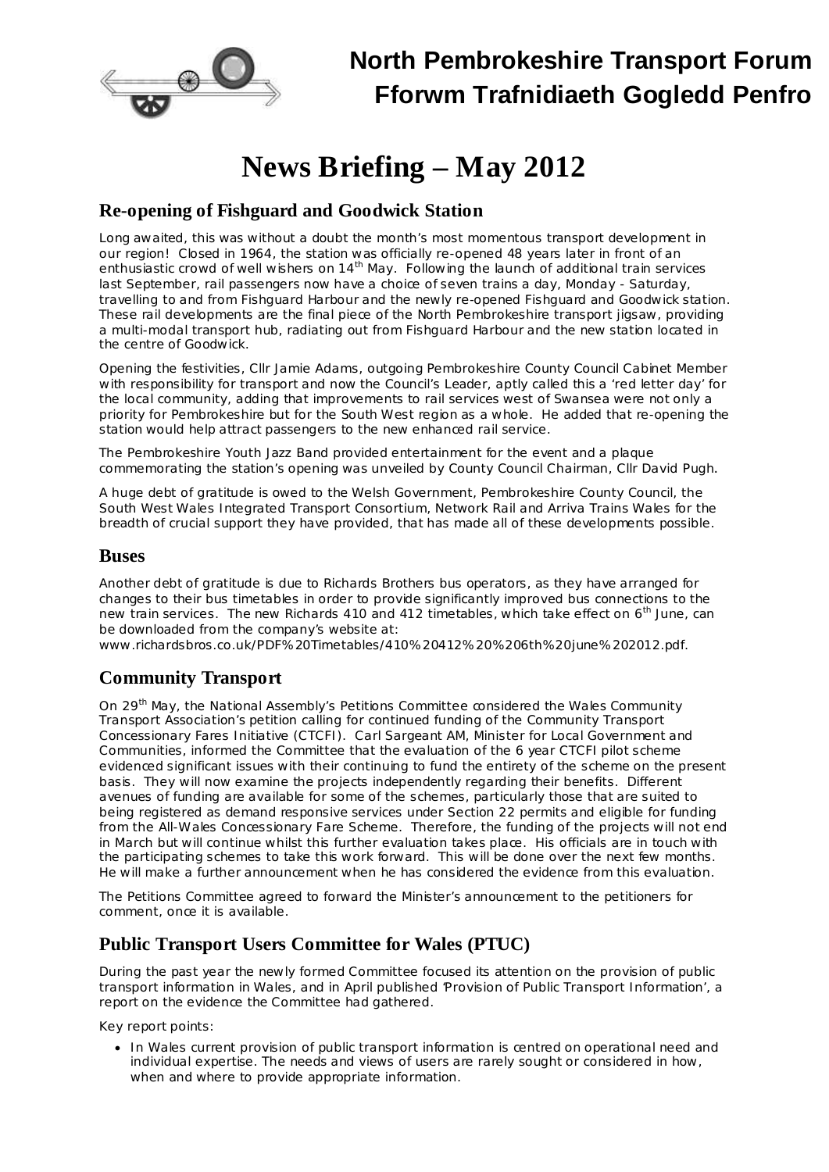

## **North Pembrokeshire Transport Forum Fforwm Trafnidiaeth Gogledd Penfro**

# **News Briefing – May 2012**

## **Re-opening of Fishguard and Goodwick Station**

Long awaited, this was without a doubt the month's most momentous transport development in our region! Closed in 1964, the station was officially re-opened 48 years later in front of an enthusiastic crowd of well wishers on 14 $^{\text{th}}$  May. Following the launch of additional train services last September, rail passengers now have a choice of seven trains a day, Monday - Saturday, travelling to and from Fishguard Harbour and the newly re-opened Fishguard and Goodwick station. These rail developments are the final piece of the North Pembrokeshire transport jigsaw, providing a multi-modal transport hub, radiating out from Fishguard Harbour and the new station located in the centre of Goodwick.

Opening the festivities, Cllr Jamie Adams, outgoing Pembrokeshire County Council Cabinet Member with responsibility for transport and now the Council's Leader, aptly called this a 'red letter day' for the local community, adding that improvements to rail services west of Swansea were not only a priority for Pembrokeshire but for the South West region as a whole. He added that re-opening the station would help attract passengers to the new enhanced rail service.

The Pembrokeshire Youth Jazz Band provided entertainment for the event and a plaque commemorating the station's opening was unveiled by County Council Chairman, Cllr David Pugh.

A huge debt of gratitude is owed to the Welsh Government, Pembrokeshire County Council, the South West Wales Integrated Transport Consortium, Network Rail and Arriva Trains Wales for the breadth of crucial support they have provided, that has made all of these developments possible.

### **Buses**

Another debt of gratitude is due to Richards Brothers bus operators, as they have arranged for changes to their bus timetables in order to provide significantly improved bus connections to the new train services. The new Richards 410 and 412 timetables, which take effect on 6<sup>th</sup> June, can be downloaded from the company's website at:

[www.richardsbros.co.uk/PDF%20Timetables/410%20412%20%206th%20june%202012.pdf.](http://www.richardsbros.co.uk/PDF Timetables/410 412  6th june 2012.pdf)

## **Community Transport**

On 29<sup>th</sup> May, the National Assembly's Petitions Committee considered the Wales Community Transport Association's petition calling for continued funding of the Community Transport Concessionary Fares Initiative (CTCFI). Carl Sargeant AM, Minister for Local Government and Communities, informed the Committee that the evaluation of the 6 year CTCFI pilot scheme evidenced significant issues with their continuing to fund the entirety of the scheme on the present basis. They will now examine the projects independently regarding their benefits. Different avenues of funding are available for some of the schemes, particularly those that are suited to being registered as demand responsive services under Section 22 permits and eligible for funding from the All-Wales Concessionary Fare Scheme. Therefore, the funding of the projects will not end in March but will continue whilst this further evaluation takes place. His officials are in touch with the participating schemes to take this work forward. This will be done over the next few months. He will make a further announcement when he has considered the evidence from this evaluation.

The Petitions Committee agreed to forward the Minister's announcement to the petitioners for comment, once it is available.

### **Public Transport Users Committee for Wales (PTUC)**

During the past year the newly formed Committee focused its attention on the provision of public transport information in Wales, and in April published 'Provision of Public Transport Information', a report on the evidence the Committee had gathered.

Key report points:

· In Wales current provision of public transport information is centred on operational need and individual expertise. The needs and views of users are rarely sought or considered in how, when and where to provide appropriate information.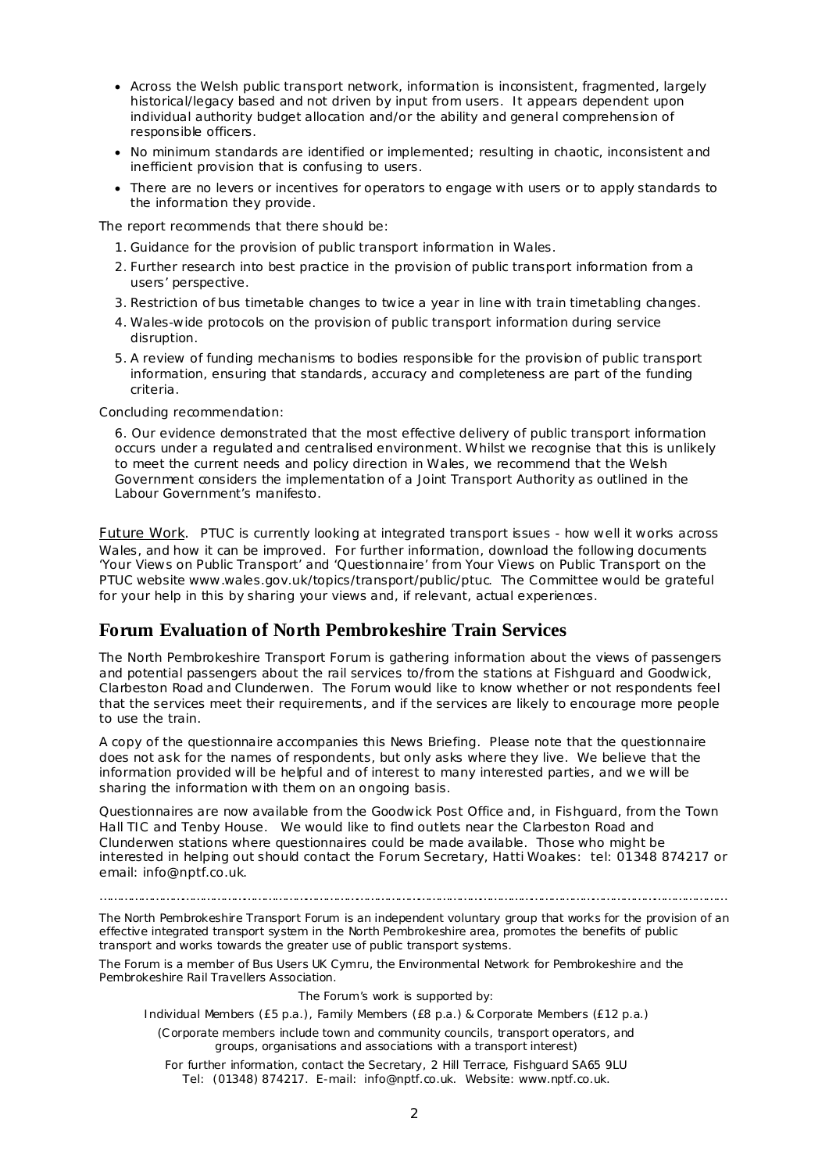- · Across the Welsh public transport network, information is inconsistent, fragmented, largely historical/legacy based and not driven by input from users. It appears dependent upon individual authority budget allocation and/or the ability and general comprehension of responsible officers.
- · No minimum standards are identified or implemented; resulting in chaotic, inconsistent and inefficient provision that is confusing to users.
- · There are no levers or incentives for operators to engage with users or to apply standards to the information they provide.

The report recommends that there should be:

- 1. Guidance for the provision of public transport information in Wales.
- 2. Further research into best practice in the provision of public transport information from a users' perspective.
- 3. Restriction of bus timetable changes to twice a year in line with train timetabling changes.
- 4. Wales-wide protocols on the provision of public transport information during service disruption.
- 5. A review of funding mechanisms to bodies responsible for the provision of public transport information, ensuring that standards, accuracy and completeness are part of the funding criteria.

Concluding recommendation:

6. Our evidence demonstrated that the most effective delivery of public transport information occurs under a regulated and centralised environment. Whilst we recognise that this is unlikely to meet the current needs and policy direction in Wales, we recommend that the Welsh Government considers the implementation of a Joint Transport Authority as outlined in the Labour Government's manifesto.

Future Work. PTUC is currently looking at integrated transport issues - how well it works across Wales, and how it can be improved. For further information, download the following documents 'Your Views on Public Transport' and 'Questionnaire' from *Your Views on Public Transport* on the PTUC website [www.wales.gov.uk/topics/transport/public/ptuc.](http://www.wales.gov.uk/topics/transport/public/ptuc) The Committee would be grateful for your help in this by sharing your views and, if relevant, actual experiences.

### **Forum Evaluation of North Pembrokeshire Train Services**

The North Pembrokeshire Transport Forum is gathering information about the views of passengers and potential passengers about the rail services to/from the stations at Fishguard and Goodwick, Clarbeston Road and Clunderwen. The Forum would like to know whether or not respondents feel that the services meet their requirements, and if the services are likely to encourage more people to use the train.

A copy of the questionnaire accompanies this News Briefing. Please note that the questionnaire does not ask for the names of respondents, but only asks where they live. We believe that the information provided will be helpful and of interest to many interested parties, and we will be sharing the information with them on an ongoing basis.

Questionnaires are now available from the Goodwick Post Office and, in Fishguard, from the Town Hall TIC and Tenby House. We would like to find outlets near the Clarbeston Road and Clunderwen stations where questionnaires could be made available. Those who might be interested in helping out should contact the Forum Secretary, Hatti Woakes: tel: 01348 874217 or email: [info@nptf.co.uk.](mailto:info@nptf.co.uk)

………………………………………………………………………………………………………………………………………………………………...

The North Pembrokeshire Transport Forum is an independent voluntary group that works for the provision of an effective integrated transport system in the North Pembrokeshire area, promotes the benefits of public transport and works towards the greater use of public transport systems.

The Forum is a member of Bus Users UK Cymru, the Environmental Network for Pembrokeshire and the Pembrokeshire Rail Travellers Association.

#### The Forum's work is supported by:

Individual Members (£5 p.a.), Family Members (£8 p.a.) & Corporate Members (£12 p.a.)

(Corporate members include town and community councils, transport operators, and groups, organisations and associations with a transport interest)

For further information, contact the Secretary, 2 Hill Terrace, Fishguard SA65 9LU Tel: (01348) 874217. E-mail: [info@nptf.co.uk.](mailto:info@nptf.co.uk) Website: [www.nptf.co.uk.](http://www.nptf.co.uk/)